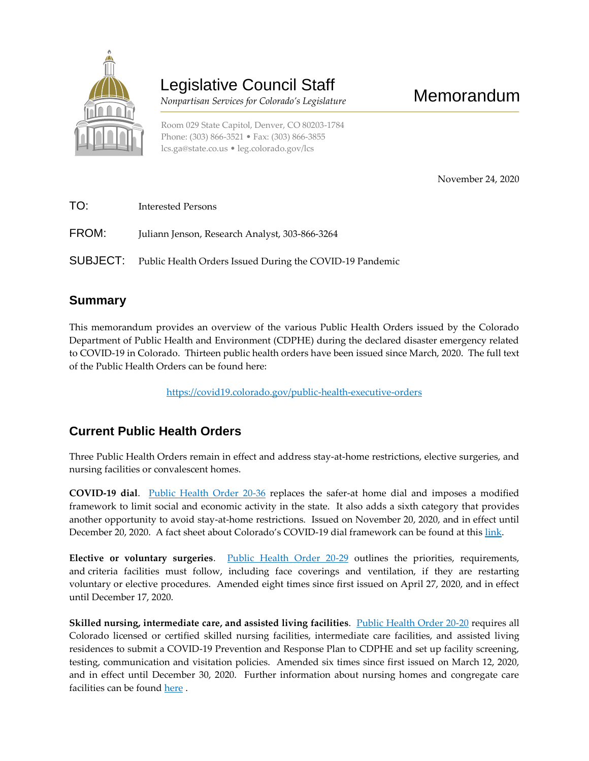

# Legislative Council Staff

 *Nonpartisan Services for Colorado's Legislature*

November 24, 2020

Memorandum

| TO:   | Interested Persons                                                |
|-------|-------------------------------------------------------------------|
| FROM: | Juliann Jenson, Research Analyst, 303-866-3264                    |
|       | SUBJECT: Public Health Orders Issued During the COVID-19 Pandemic |

## **Summary**

This memorandum provides an overview of the various Public Health Orders issued by the Colorado Department of Public Health and Environment (CDPHE) during the declared disaster emergency related to COVID-19 in Colorado. Thirteen public health orders have been issued since March, 2020. The full text of the Public Health Orders can be found here:

<https://covid19.colorado.gov/public-health-executive-orders>

## **Current Public Health Orders**

Three Public Health Orders remain in effect and address stay-at-home restrictions, elective surgeries, and nursing facilities or convalescent homes.

**COVID-19 dial**. [Public Health Order 20-36](https://drive.google.com/file/d/1tuesNFfblAKcw62ao-fALbBxSUC0gccP/view) replaces the safer-at home dial and imposes a modified framework to limit social and economic activity in the state. It also adds a sixth category that provides another opportunity to avoid stay-at-home restrictions. Issued on November 20, 2020, and in effect until December 20, 2020. A fact sheet about Colorado's COVID-19 dial framework can be found at this [link.](https://drive.google.com/file/d/1LoNp4LtkaTbPTkVzWcHwJQ2L27wlxNad/view)

**Elective or voluntary surgeries**. [Public Health Order 20-29](https://drive.google.com/file/d/16FQbZpKdx84wLIRneGUh34Nune9uAh6d/view) outlines the priorities, requirements, and criteria facilities must follow, including face coverings and ventilation, if they are restarting voluntary or elective procedures. Amended eight times since first issued on April 27, 2020, and in effect until December 17, 2020.

**Skilled nursing, intermediate care, and assisted living facilities**. [Public Health Order 20-20](https://drive.google.com/file/d/1BK1ENlQbOI1cB-D3K4FyOFyasW_NLSh6/view) requires all Colorado licensed or certified skilled nursing facilities, intermediate care facilities, and assisted living residences to submit a COVID-19 Prevention and Response Plan to CDPHE and set up facility screening, testing, communication and visitation policies. Amended six times since first issued on March 12, 2020, and in effect until December 30, 2020. Further information about nursing homes and congregate care facilities can be found [here](https://covid19.colorado.gov/nursing-homes-and-care) .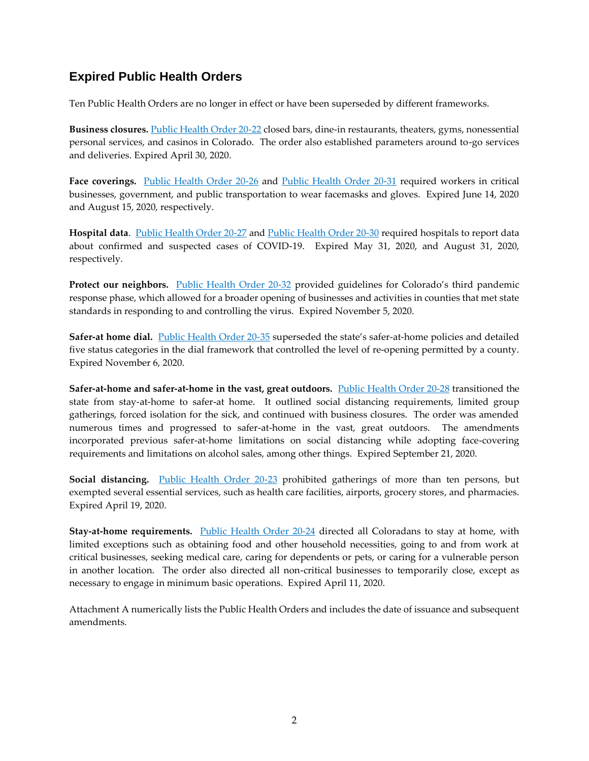#### **Expired Public Health Orders**

Ten Public Health Orders are no longer in effect or have been superseded by different frameworks.

**Business closures.** [Public Health Order 20-22](https://drive.google.com/file/d/1aMOxiYDg1lI2U0EbkpyK8bBQT0sWJJhT/view) closed bars, dine-in restaurants, theaters, gyms, nonessential personal services, and casinos in Colorado. The order also established parameters around to-go services and deliveries. Expired April 30, 2020.

**Face coverings.** [Public Health Order 20-26](https://drive.google.com/file/d/158WyIKncubdNm3hoA2jahqXghas17-iQ/view) and [Public Health Order 20-31](https://drive.google.com/file/d/16RjNyuqU-YG_Zb_kx_sx7A3Q4JQT2qdf/view) required workers in critical businesses, government, and public transportation to wear facemasks and gloves. Expired June 14, 2020 and August 15, 2020, respectively.

**Hospital data**. [Public Health Order 20-27](https://drive.google.com/file/d/1zLjBH6f3TOfnDmunwaLrQ3xrXCPJgXv7/view) and [Public Health Order 20-30](https://drive.google.com/file/d/11IFCxlrzJDYFGmo5wH_TckKXSk9f3hv1/view) required hospitals to report data about confirmed and suspected cases of COVID-19. Expired May 31, 2020, and August 31, 2020, respectively.

Protect our neighbors. **[Public Health Order 20-32](https://drive.google.com/file/d/1LvsqzhIJddVFfvj2Ug8yNuvo4RsnVWpO/view)** provided guidelines for Colorado's third pandemic response phase, which allowed for a broader opening of businesses and activities in counties that met state standards in responding to and controlling the virus. Expired November 5, 2020.

**Safer-at home dial.** [Public Health Order 20-35](https://drive.google.com/file/d/1DDyfYZ5X0iTyOh18UPwd1otyPjCssEgS/view) superseded the state's safer-at-home policies and detailed five status categories in the dial framework that controlled the level of re-opening permitted by a county. Expired November 6, 2020.

**Safer-at-home and safer-at-home in the vast, great outdoors.** [Public Health Order 20-28](https://drive.google.com/file/d/1VtBkCA8EeNkoDrnPs6gzrUTjffiQe7N4/view) transitioned the state from stay-at-home to safer-at home. It outlined social distancing requirements, limited group gatherings, forced isolation for the sick, and continued with business closures. The order was amended numerous times and progressed to safer-at-home in the vast, great outdoors. The amendments incorporated previous safer-at-home limitations on social distancing while adopting face-covering requirements and limitations on alcohol sales, among other things. Expired September 21, 2020.

**Social distancing.** [Public Health Order 20-23](https://drive.google.com/file/d/1mlrSbTXc_EDHKTdbWvo8cKJBrZ902iW9/view) prohibited gatherings of more than ten persons, but exempted several essential services, such as health care facilities, airports, grocery stores, and pharmacies. Expired April 19, 2020.

**Stay-at-home requirements.** [Public Health Order 20-24](https://drive.google.com/file/d/1zYSF3mAD7IMFK3_Zh9Q7tQYV_KFOIknJ/view) directed all Coloradans to stay at home, with limited exceptions such as obtaining food and other household necessities, going to and from work at critical businesses, seeking medical care, caring for dependents or pets, or caring for a vulnerable person in another location. The order also directed all non-critical businesses to temporarily close, except as necessary to engage in minimum basic operations. Expired April 11, 2020.

Attachment A numerically lists the Public Health Orders and includes the date of issuance and subsequent amendments.